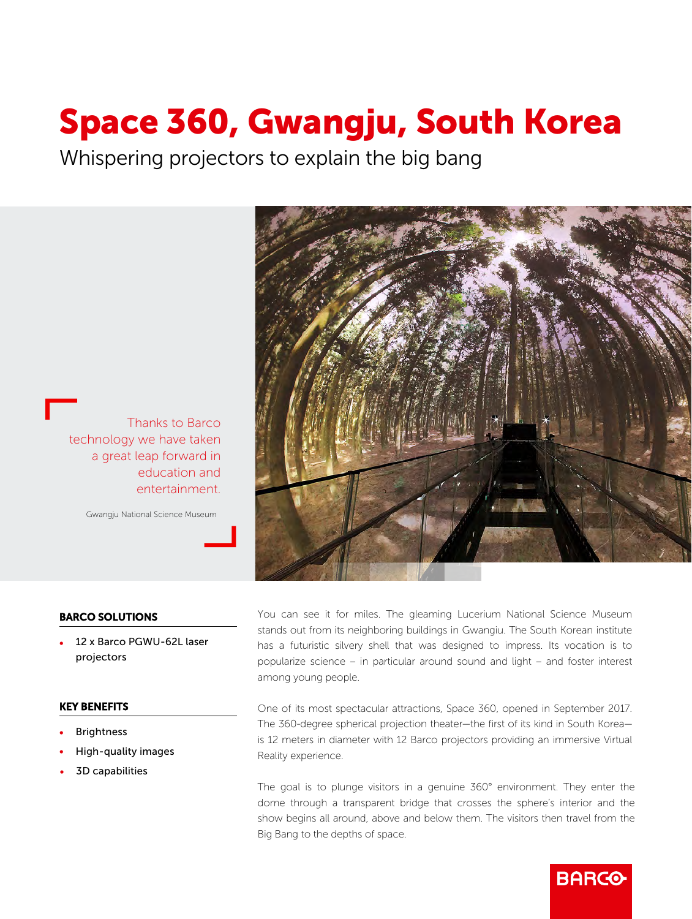# Space 360, Gwangju, South Korea

Whispering projectors to explain the big bang



Gwangju National Science Museum



## BARCO SOLUTIONS

• 12 x Barco PGWU-62L laser projectors

#### KEY BENEFITS

- **Brightness**
- High-quality images
- 3D capabilities

You can see it for miles. The gleaming Lucerium National Science Museum stands out from its neighboring buildings in Gwangiu. The South Korean institute has a futuristic silvery shell that was designed to impress. Its vocation is to popularize science – in particular around sound and light – and foster interest among young people.

One of its most spectacular attractions, Space 360, opened in September 2017. The 360-degree spherical projection theater—the first of its kind in South Korea is 12 meters in diameter with 12 Barco projectors providing an immersive Virtual Reality experience.

The goal is to plunge visitors in a genuine 360° environment. They enter the dome through a transparent bridge that crosses the sphere's interior and the show begins all around, above and below them. The visitors then travel from the Big Bang to the depths of space.